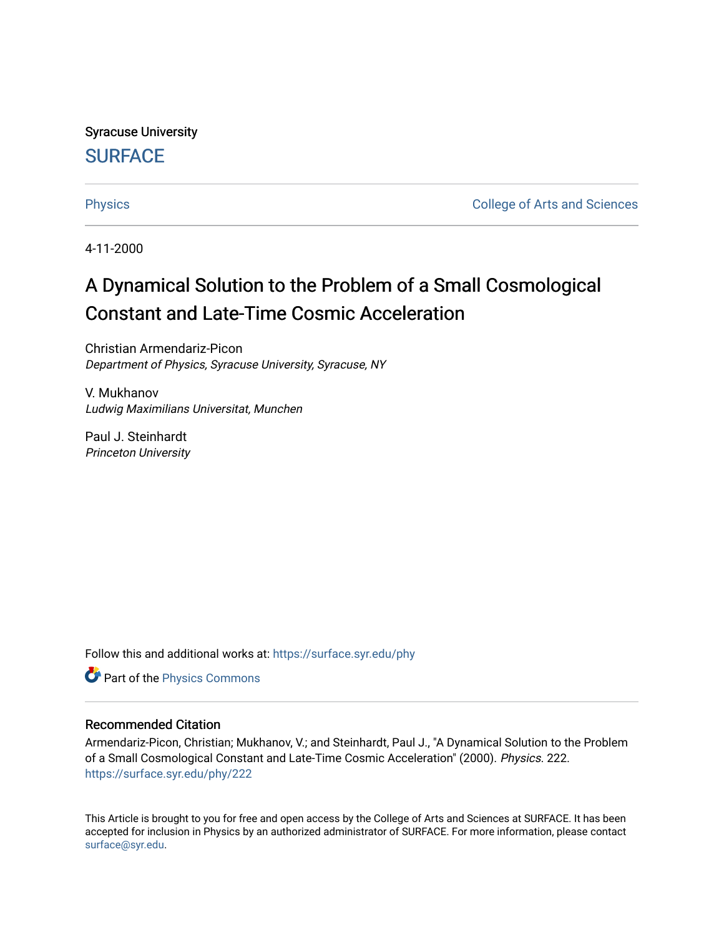Syracuse University **[SURFACE](https://surface.syr.edu/)** 

[Physics](https://surface.syr.edu/phy) **College of Arts and Sciences** 

4-11-2000

## A Dynamical Solution to the Problem of a Small Cosmological Constant and Late-Time Cosmic Acceleration

Christian Armendariz-Picon Department of Physics, Syracuse University, Syracuse, NY

V. Mukhanov Ludwig Maximilians Universitat, Munchen

Paul J. Steinhardt Princeton University

Follow this and additional works at: [https://surface.syr.edu/phy](https://surface.syr.edu/phy?utm_source=surface.syr.edu%2Fphy%2F222&utm_medium=PDF&utm_campaign=PDFCoverPages)

**P** Part of the [Physics Commons](http://network.bepress.com/hgg/discipline/193?utm_source=surface.syr.edu%2Fphy%2F222&utm_medium=PDF&utm_campaign=PDFCoverPages)

## Recommended Citation

Armendariz-Picon, Christian; Mukhanov, V.; and Steinhardt, Paul J., "A Dynamical Solution to the Problem of a Small Cosmological Constant and Late-Time Cosmic Acceleration" (2000). Physics. 222. [https://surface.syr.edu/phy/222](https://surface.syr.edu/phy/222?utm_source=surface.syr.edu%2Fphy%2F222&utm_medium=PDF&utm_campaign=PDFCoverPages)

This Article is brought to you for free and open access by the College of Arts and Sciences at SURFACE. It has been accepted for inclusion in Physics by an authorized administrator of SURFACE. For more information, please contact [surface@syr.edu.](mailto:surface@syr.edu)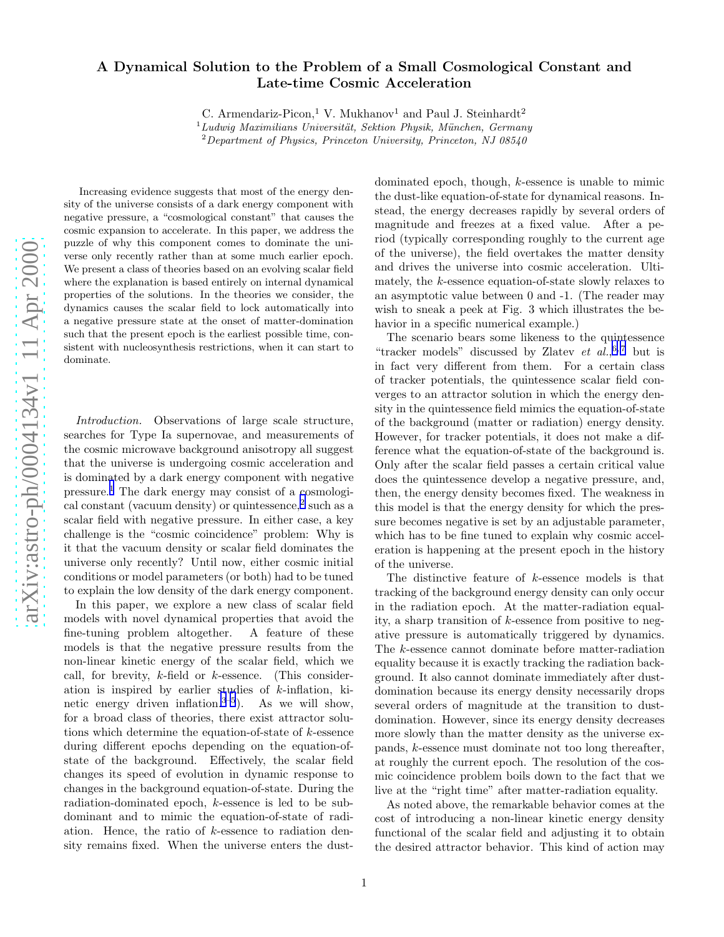## A Dynamical Solution to the Problem of a Small Cosmological Constant and Late-time Cosmic Acceleration

C. Armendariz-Picon,<sup>1</sup> V. Mukhanov<sup>1</sup> and Paul J. Steinhardt<sup>2</sup>

 $1_L$ udwig Maximilians Universität, Sektion Physik, München, Germany  $2$ Department of Physics, Princeton University, Princeton, NJ 08540

Increasing evidence suggests that most of the energy density of the universe consists of a dark energy component with negative pressure, a "cosmological constant" that causes the cosmic expansion to accelerate. In this paper, we address th e puzzle of why this component comes to dominate the universe only recently rather than at some much earlier epoch. We present a class of theories based on an evolving scalar field where the explanation is based entirely on internal dynamical properties of the solutions. In the theories we consider, th e dynamics causes the scalar field to lock automatically into a negative pressure state at the onset of matter-domination such that the present epoch is the earliest possible time, consistent with nucleosynthesis restrictions, when it can start to dominate.

Introduction. Observations of large scale structure, searches for Type Ia supernovae, and measurements of the cosmic microwave background anisotropy all suggest that the universe is undergoing cosmic acceleration and is dominated by a dark energy component with negative pressure. [1](#page-5-0) The dark energy may consist of a cosmologi-cal constant (vacuum density) or quintessence,<sup>[2](#page-5-0)</sup> such as a scalar field with negative pressure. In either case, a key challenge is the "cosmic coincidence" problem: Why is it that the vacuum density or scalar field dominates the universe only recently? Until now, either cosmic initial conditions or model parameters (or both) had to be tuned to explain the low density of the dark energy component.

In this paper, we explore a new class of scalar field models with novel dynamical properties that avoid the fine-tuning problem altogether. A feature of these models is that the negative pressure results from the non-linear kinetic energy of the scalar field, which we call, for brevity, k-field or k-essence. (This consideration is inspired by earlier studies of k-inflation, ki-netic energy driven inflation.<sup>[3–5](#page-5-0)</sup>). As we will show, for a broad class of theories, there exist attractor solutions which determine the equation-of-state of k-essence during different epochs depending on the equation-ofstate of the background. Effectively, the scalar field changes its speed of evolution in dynamic response to changes in the background equation-of-state. During the radiation-dominated epoch, k-essence is led to be subdominant and to mimic the equation-of-state of radiation. Hence, the ratio of k-essence to radiation density remains fixed. When the universe enters the dust-

dominated epoch, though, k-essence is unable to mimic the dust-like equation-of-state for dynamical reasons. In stead, the energy decreases rapidly by several orders of magnitude and freezes at a fixed value. After a period (typically corresponding roughly to the current age of the universe), the field overtakes the matter density and drives the universe into cosmic acceleration. Ultimately, the k-essence equation-of-state slowly relaxes to an asymptotic value between 0 and -1. (The reader may wish to sneak a peek at Fig. 3 which illustrates the behavior in a specific numerical example.)

The scenario bears some likeness to the quintessence "tracker models" discussed by Zlatev  $et \ al.,<sup>6,7</sup>$  but is in fact very different from them. For a certain class of tracker potentials, the quintessence scalar field converges to an attractor solution in which the energy density in the quintessence field mimics the equation-of-state of the background (matter or radiation) energy density. However, for tracker potentials, it does not make a difference what the equation-of-state of the background is. Only after the scalar field passes a certain critical value does the quintessence develop a negative pressure, and, then, the energy density becomes fixed. The weakness in this model is that the energy density for which the pressure becomes negative is set by an adjustable parameter, which has to be fine tuned to explain why cosmic acceleration is happening at the present epoch in the history of the universe.

The distinctive feature of k-essence models is that tracking of the background energy density can only occur in the radiation epoch. At the matter-radiation equality, a sharp transition of k-essence from positive to negative pressure is automatically triggered by dynamics. The k-essence cannot dominate before matter-radiation equality because it is exactly tracking the radiation background. It also cannot dominate immediately after dustdomination because its energy density necessarily drops several orders of magnitude at the transition to dustdomination. However, since its energy density decreases more slowly than the matter density as the universe expands, k-essence must dominate not too long thereafter, at roughly the current epoch. The resolution of the cosmic coincidence problem boils down to the fact that we live at the "right time" after matter-radiation equality.

As noted above, the remarkable behavior comes at the cost of introducing a non-linear kinetic energy density functional of the scalar field and adjusting it to obtain the desired attractor behavior. This kind of action may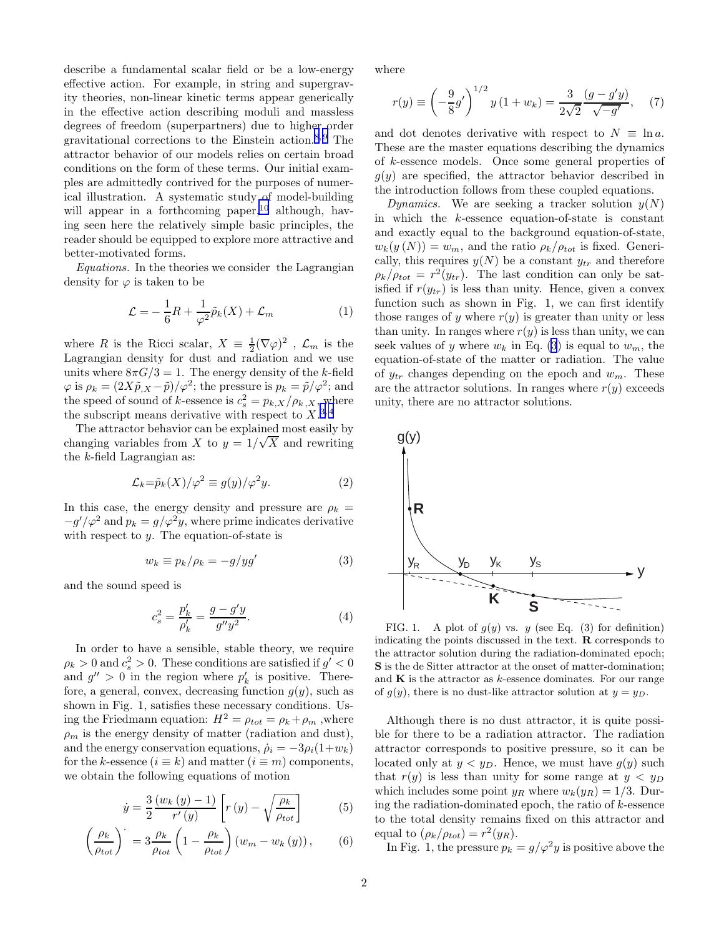<span id="page-2-0"></span>describe a fundamental scalar field or be a low-energy effective action. For example, in string and supergravity theories, non-linear kinetic terms appear generically in the effective action describing moduli and massless degrees of freedom (superpartners) due to higher order gravitational corrections to the Einstein action.<sup>[8, 9](#page-5-0)</sup> The attractor behavior of our models relies on certain broad conditions on the form of these terms. Our initial examples are admittedly contrived for the purposes of numerical illustration. A systematic study of model-building will appear in a forthcoming paper,  $10$  although, having seen here the relatively simple basic principles, the reader should be equipped to explore more attractive and better-motivated forms.

Equations. In the theories we consider the Lagrangian density for  $\varphi$  is taken to be

$$
\mathcal{L} = -\frac{1}{6}R + \frac{1}{\varphi^2}\tilde{p}_k(X) + \mathcal{L}_m \tag{1}
$$

where R is the Ricci scalar,  $X = \frac{1}{2} (\nabla \varphi)^2$ ,  $\mathcal{L}_m$  is the Lagrangian density for dust and radiation and we use units where  $8\pi G/3 = 1$ . The energy density of the k-field  $\varphi$  is  $\rho_k = (2X\tilde{p}_{,X} - \tilde{p})/\varphi^2$ ; the pressure is  $p_k = \tilde{p}/\varphi^2$ ; and the speed of sound of k-essence is  $c_s^2 = p_{k,X}/\rho_{k,X}$ , where the subscript means derivative with respect to  $X^{3,4}$ 

The attractor behavior can be explained most easily by changing variables from X to  $y = 1/\sqrt{X}$  and rewriting the k-field Lagrangian as:

$$
\mathcal{L}_k = \tilde{p}_k(X) / \varphi^2 \equiv g(y) / \varphi^2 y. \tag{2}
$$

In this case, the energy density and pressure are  $\rho_k =$  $-g'/\varphi^2$  and  $p_k = g/\varphi^2 y$ , where prime indicates derivative with respect to  $y$ . The equation-of-state is

$$
w_k \equiv p_k / \rho_k = -g / yg'
$$
 (3)

and the sound speed is

$$
c_s^2 = \frac{p'_k}{\rho'_k} = \frac{g - g'y}{g''y^2}.
$$
 (4)

In order to have a sensible, stable theory, we require  $\rho_k > 0$  and  $c_s^2 > 0$ . These conditions are satisfied if  $g' < 0$ and  $g'' > 0$  in the region where  $p'_i$  $'_{k}$  is positive. Therefore, a general, convex, decreasing function  $g(y)$ , such as shown in Fig. 1, satisfies these necessary conditions. Using the Friedmann equation:  $H^2 = \rho_{tot} = \rho_k + \rho_m$ , where  $\rho_m$  is the energy density of matter (radiation and dust), and the energy conservation equations,  $\dot{\rho}_i = -3\rho_i(1+w_k)$ for the k-essence  $(i \equiv k)$  and matter  $(i \equiv m)$  components, we obtain the following equations of motion

$$
\dot{y} = \frac{3}{2} \frac{(w_k(y) - 1)}{r'(y)} \left[ r(y) - \sqrt{\frac{\rho_k}{\rho_{tot}}} \right]
$$
(5)

$$
\left(\frac{\rho_k}{\rho_{tot}}\right)^{\cdot} = 3 \frac{\rho_k}{\rho_{tot}} \left(1 - \frac{\rho_k}{\rho_{tot}}\right) \left(w_m - w_k\left(y\right)\right),\tag{6}
$$

where

$$
r(y) \equiv \left(-\frac{9}{8}g'\right)^{1/2} y (1+w_k) = \frac{3}{2\sqrt{2}} \frac{(g-g'y)}{\sqrt{-g'}} ,\quad (7)
$$

and dot denotes derivative with respect to  $N \equiv \ln a$ . These are the master equations describing the dynamics of k-essence models. Once some general properties of  $g(y)$  are specified, the attractor behavior described in the introduction follows from these coupled equations.

Dynamics. We are seeking a tracker solution  $y(N)$ in which the k-essence equation-of-state is constant and exactly equal to the background equation-of-state,  $w_k(y(N)) = w_m$ , and the ratio  $\rho_k/\rho_{tot}$  is fixed. Generically, this requires  $y(N)$  be a constant  $y_{tr}$  and therefore  $\rho_k/\rho_{tot} = r^2(y_{tr})$ . The last condition can only be satisfied if  $r(y_{tr})$  is less than unity. Hence, given a convex function such as shown in Fig. 1, we can first identify those ranges of y where  $r(y)$  is greater than unity or less than unity. In ranges where  $r(y)$  is less than unity, we can seek values of y where  $w_k$  in Eq. (3) is equal to  $w_m$ , the equation-of-state of the matter or radiation. The value of  $y_{tr}$  changes depending on the epoch and  $w_m$ . These are the attractor solutions. In ranges where  $r(y)$  exceeds unity, there are no attractor solutions.



FIG. 1. A plot of  $g(y)$  vs. y (see Eq. (3) for definition) indicating the points discussed in the text. R corresponds to the attractor solution during the radiation-dominated epoch; S is the de Sitter attractor at the onset of matter-domination; and  $K$  is the attractor as  $k$ -essence dominates. For our range of  $g(y)$ , there is no dust-like attractor solution at  $y = y_D$ .

Although there is no dust attractor, it is quite possible for there to be a radiation attractor. The radiation attractor corresponds to positive pressure, so it can be located only at  $y < y_D$ . Hence, we must have  $g(y)$  such that  $r(y)$  is less than unity for some range at  $y < y_D$ which includes some point  $y_R$  where  $w_k(y_R) = 1/3$ . During the radiation-dominated epoch, the ratio of  $k$ -essence to the total density remains fixed on this attractor and equal to  $(\rho_k/\rho_{tot}) = r^2(y_R)$ .

In Fig. 1, the pressure  $p_k = g/\varphi^2 y$  is positive above the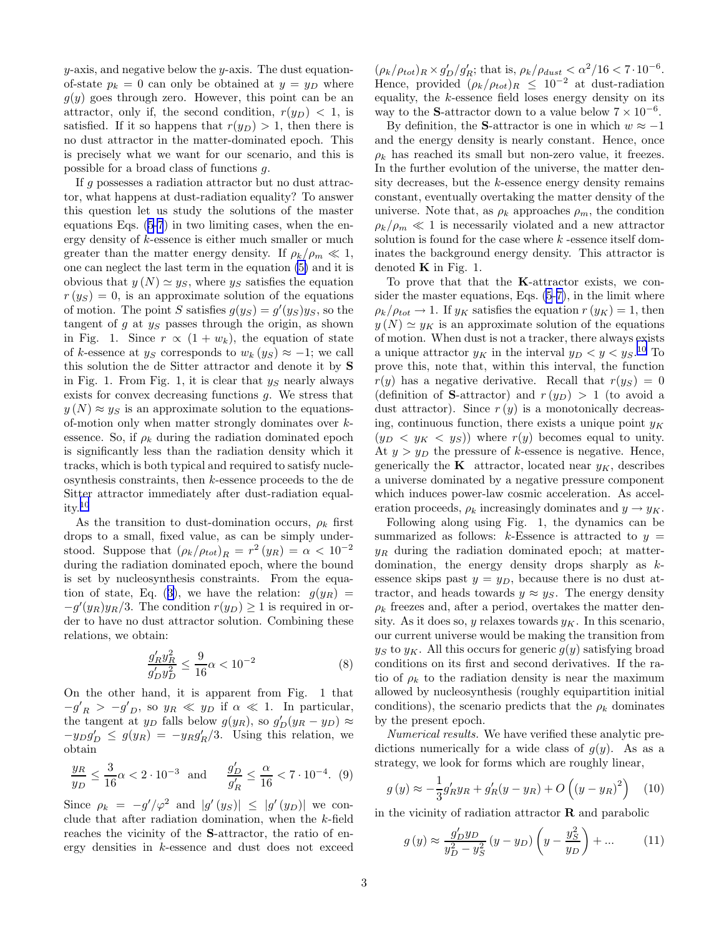$y$ -axis, and negative below the  $y$ -axis. The dust equationof-state  $p_k = 0$  can only be obtained at  $y = y_D$  where  $g(y)$  goes through zero. However, this point can be an attractor, only if, the second condition,  $r(y_D) < 1$ , is satisfied. If it so happens that  $r(y_D) > 1$ , then there is no dust attractor in the matter-dominated epoch. This is precisely what we want for our scenario, and this is possible for a broad class of functions g.

If g possesses a radiation attractor but no dust attractor, what happens at dust-radiation equality? To answer this question let us study the solutions of the master equations Eqs. [\(5-7](#page-2-0)) in two limiting cases, when the energy density of k-essence is either much smaller or much greater than the matter energy density. If  $\rho_k/\rho_m \ll 1$ , one can neglect the last term in the equation [\(5\)](#page-2-0) and it is obvious that  $y(N) \simeq y_S$ , where  $y_S$  satisfies the equation  $r(y_S) = 0$ , is an approximate solution of the equations of motion. The point S satisfies  $g(y_S) = g'(y_S)y_S$ , so the tangent of  $g$  at  $y_S$  passes through the origin, as shown in Fig. 1. Since  $r \propto (1 + w_k)$ , the equation of state of k-essence at  $y_S$  corresponds to  $w_k(y_S) \approx -1$ ; we call this solution the de Sitter attractor and denote it by S in Fig. 1. From Fig. 1, it is clear that  $y<sub>S</sub>$  nearly always exists for convex decreasing functions g. We stress that  $y(N) \approx y_S$  is an approximate solution to the equationsof-motion only when matter strongly dominates over kessence. So, if  $\rho_k$  during the radiation dominated epoch is significantly less than the radiation density which it tracks, which is both typical and required to satisfy nucleosynthesis constraints, then k-essence proceeds to the de Sitter attractor immediately after dust-radiation equality.[10](#page-5-0)

As the transition to dust-domination occurs,  $\rho_k$  first drops to a small, fixed value, as can be simply understood. Suppose that  $(\rho_k/\rho_{tot})_R = r^2 (y_R) = \alpha < 10^{-2}$ during the radiation dominated epoch, where the bound is set by nucleosynthesis constraints. From the equa-tion of state, Eq. ([3\)](#page-2-0), we have the relation:  $g(y_R)$  =  $-g'(y_R)y_R/3$ . The condition  $r(y_D) \geq 1$  is required in order to have no dust attractor solution. Combining these relations, we obtain:

$$
\frac{g'_R g_R^2}{g'_D g_D^2} \le \frac{9}{16} \alpha < 10^{-2} \tag{8}
$$

On the other hand, it is apparent from Fig. 1 that  $-g'_R > -g'_{D}$ , so  $y_R \ll y_D$  if  $\alpha \ll 1$ . In particular, the tangent at  $y_D$  falls below  $g(y_R)$ , so  $g'_D(y_R - y_D) \approx$  $-y_D g'_D \leq g(y_R) = -y_R g'_R/3$ . Using this relation, we obtain

$$
\frac{y_R}{y_D} \le \frac{3}{16}\alpha < 2 \cdot 10^{-3} \quad \text{and} \quad \frac{g_D'}{g_R'} \le \frac{\alpha}{16} < 7 \cdot 10^{-4}. \tag{9}
$$

Since  $\rho_k = -g'/\varphi^2$  and  $|g'(y_S)| \leq |g'(y_D)|$  we conclude that after radiation domination, when the  $k$ -field reaches the vicinity of the S-attractor, the ratio of energy densities in k-essence and dust does not exceed

 $(\rho_k/\rho_{tot})_R \times g'_D/g'_R$ ; that is,  $\rho_k/\rho_{dust} < \alpha^2/16 < 7 \cdot 10^{-6}$ . Hence, provided  $(\rho_k/\rho_{tot})_R \leq 10^{-2}$  at dust-radiation equality, the  $k$ -essence field loses energy density on its way to the S-attractor down to a value below  $7 \times 10^{-6}$ .

By definition, the S-attractor is one in which  $w \approx -1$ and the energy density is nearly constant. Hence, once  $\rho_k$  has reached its small but non-zero value, it freezes. In the further evolution of the universe, the matter density decreases, but the  $k$ -essence energy density remains constant, eventually overtaking the matter density of the universe. Note that, as  $\rho_k$  approaches  $\rho_m$ , the condition  $\rho_k/\rho_m \ll 1$  is necessarily violated and a new attractor solution is found for the case where  $k$  -essence itself dominates the background energy density. This attractor is denoted  $\bf{K}$  in Fig. 1.

To prove that that the K-attractor exists, we consider the master equations, Eqs. [\(5](#page-2-0)-[7\)](#page-2-0), in the limit where  $\rho_k/\rho_{tot} \rightarrow 1$ . If  $y_K$  satisfies the equation  $r(y_K) = 1$ , then  $y(N) \simeq y_K$  is an approximate solution of the equations of motion. When dust is not a tracker, there always exists a unique attractor  $y_K$  in the interval  $y_D < y < y_S$ .<sup>[10](#page-5-0)</sup> To prove this, note that, within this interval, the function  $r(y)$  has a negative derivative. Recall that  $r(y_S) = 0$ (definition of **S**-attractor) and  $r(y_D) > 1$  (to avoid a dust attractor). Since  $r(y)$  is a monotonically decreasing, continuous function, there exists a unique point  $y_K$  $(y_D \langle y_K \rangle \langle y_S \rangle)$  where  $r(y)$  becomes equal to unity. At  $y > y_D$  the pressure of k-essence is negative. Hence, generically the **K** attractor, located near  $y_K$ , describes a universe dominated by a negative pressure component which induces power-law cosmic acceleration. As acceleration proceeds,  $\rho_k$  increasingly dominates and  $y \to y_K$ .

Following along using Fig. 1, the dynamics can be summarized as follows: k-Essence is attracted to  $y =$  $y_R$  during the radiation dominated epoch; at matterdomination, the energy density drops sharply as  $k$ essence skips past  $y = y_D$ , because there is no dust attractor, and heads towards  $y \approx y_S$ . The energy density  $\rho_k$  freezes and, after a period, overtakes the matter density. As it does so, y relaxes towards  $y_K$ . In this scenario, our current universe would be making the transition from  $y_S$  to  $y_K$ . All this occurs for generic  $g(y)$  satisfying broad conditions on its first and second derivatives. If the ratio of  $\rho_k$  to the radiation density is near the maximum allowed by nucleosynthesis (roughly equipartition initial conditions), the scenario predicts that the  $\rho_k$  dominates by the present epoch.

Numerical results. We have verified these analytic predictions numerically for a wide class of  $g(y)$ . As as a strategy, we look for forms which are roughly linear,

$$
g(y) \approx -\frac{1}{3}g'_R y_R + g'_R (y - y_R) + O((y - y_R)^2)
$$
 (10)

in the vicinity of radiation attractor  $\bf{R}$  and parabolic

$$
g(y) \approx \frac{g'_{D}y_{D}}{y_{D}^{2} - y_{S}^{2}} (y - y_{D}) \left( y - \frac{y_{S}^{2}}{y_{D}} \right) + ... \qquad (11)
$$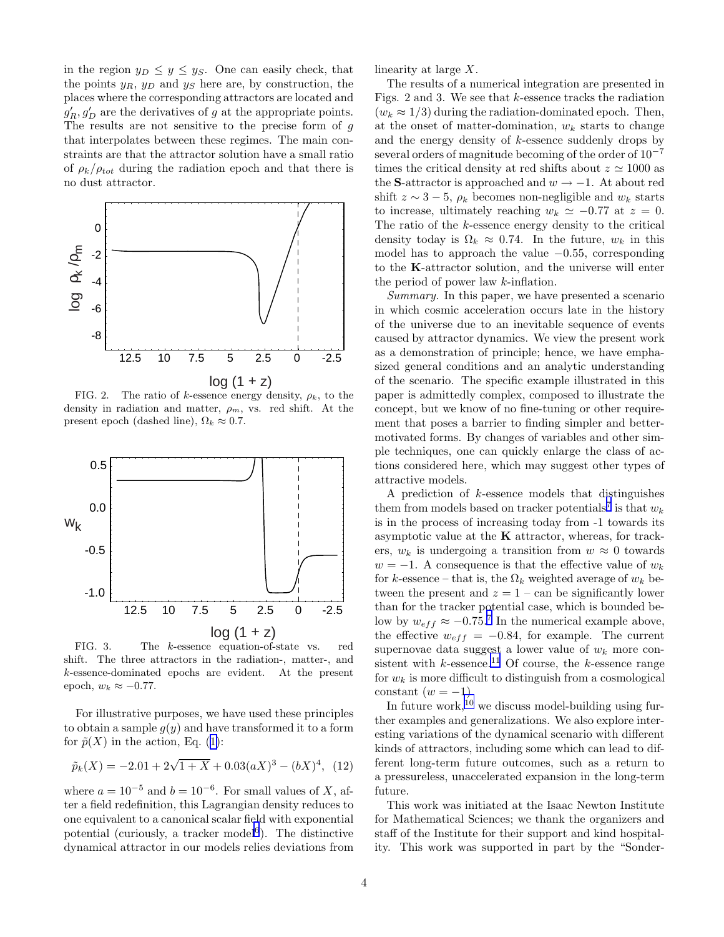in the region  $y_D \leq y \leq y_S$ . One can easily check, that the points  $y_R$ ,  $y_D$  and  $y_S$  here are, by construction, the places where the corresponding attractors are located and  $g'_R, g'_D$  are the derivatives of g at the appropriate points. The results are not sensitive to the precise form of  $g$ that interpolates between these regimes. The main constraints are that the attractor solution have a small ratio of  $\rho_k/\rho_{tot}$  during the radiation epoch and that there is no dust attractor.



FIG. 2. The ratio of k-essence energy density,  $\rho_k$ , to the density in radiation and matter,  $\rho_m$ , vs. red shift. At the present epoch (dashed line),  $\Omega_k \approx 0.7$ .



FIG. 3. The k-essence equation-of-state vs. red shift. The three attractors in the radiation-, matter-, and k-essence-dominated epochs are evident. At the present epoch,  $w_k \approx -0.77$ .

For illustrative purposes, we have used these principles to obtain a sample  $q(y)$  and have transformed it to a form for  $\tilde{p}(X)$  in the action, Eq. ([1\)](#page-2-0):

$$
\tilde{p}_k(X) = -2.01 + 2\sqrt{1+X} + 0.03(aX)^3 - (bX)^4, \tag{12}
$$

where  $a = 10^{-5}$  and  $b = 10^{-6}$ . For small values of X, after a field redefinition, this Lagrangian density reduces to one equivalent to a canonical scalar field with exponential potential (curiously, a tracker model<sup>[6](#page-5-0)</sup>). The distinctive dynamical attractor in our models relies deviations from linearity at large X.

The results of a numerical integration are presented in Figs. 2 and 3. We see that  $k$ -essence tracks the radiation  $(w_k \approx 1/3)$  during the radiation-dominated epoch. Then, at the onset of matter-domination,  $w_k$  starts to change and the energy density of k-essence suddenly drops by several orders of magnitude becoming of the order of  $10^{-7}$ times the critical density at red shifts about  $z \approx 1000$  as the S-attractor is approached and  $w \rightarrow -1$ . At about red shift  $z \sim 3-5$ ,  $\rho_k$  becomes non-negligible and  $w_k$  starts to increase, ultimately reaching  $w_k \approx -0.77$  at  $z = 0$ . The ratio of the k-essence energy density to the critical density today is  $\Omega_k \approx 0.74$ . In the future,  $w_k$  in this model has to approach the value  $-0.55$ , corresponding to the K-attractor solution, and the universe will enter the period of power law k-inflation.

Summary. In this paper, we have presented a scenario in which cosmic acceleration occurs late in the history of the universe due to an inevitable sequence of events caused by attractor dynamics. We view the present work as a demonstration of principle; hence, we have emphasized general conditions and an analytic understanding of the scenario. The specific example illustrated in this paper is admittedly complex, composed to illustrate the concept, but we know of no fine-tuning or other requirement that poses a barrier to finding simpler and bettermotivated forms. By changes of variables and other simple techniques, one can quickly enlarge the class of actions considered here, which may suggest other types of attractive models.

A prediction of  $k$ -essence models that distinguishes them from models based on tracker potentials<sup>[7](#page-5-0)</sup> is that  $w_k$ is in the process of increasing today from -1 towards its asymptotic value at the  $K$  attractor, whereas, for trackers,  $w_k$  is undergoing a transition from  $w \approx 0$  towards  $w = -1$ . A consequence is that the effective value of  $w_k$ for k-essence – that is, the  $\Omega_k$  weighted average of  $w_k$  between the present and  $z = 1 - \text{can}$  be significantly lower than for the tracker potential case, which is bounded below by  $w_{eff} \approx -0.75$  $w_{eff} \approx -0.75$  $w_{eff} \approx -0.75$ .<sup>7</sup> In the numerical example above, the effective  $w_{eff} = -0.84$ , for example. The current supernovae data suggest a lower value of  $w_k$  more consistent with  $k$ -essence.<sup>[11](#page-5-0)</sup> Of course, the  $k$ -essence range for  $w_k$  is more difficult to distinguish from a cosmological constant  $(w = -1)$ .

In future work,  $^{10}$  $^{10}$  $^{10}$  we discuss model-building using further examples and generalizations. We also explore interesting variations of the dynamical scenario with different kinds of attractors, including some which can lead to different long-term future outcomes, such as a return to a pressureless, unaccelerated expansion in the long-term future.

This work was initiated at the Isaac Newton Institute for Mathematical Sciences; we thank the organizers and staff of the Institute for their support and kind hospitality. This work was supported in part by the "Sonder